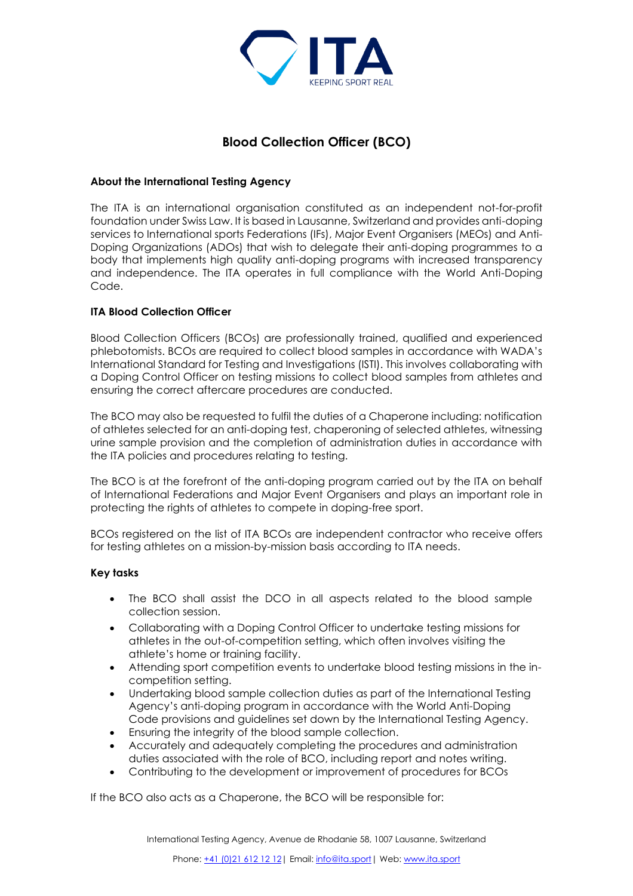

# **Blood Collection Officer (BCO)**

## **About the International Testing Agency**

The ITA is an international organisation constituted as an independent not-for-profit foundation under Swiss Law. It is based in Lausanne, Switzerland and provides anti-doping services to International sports Federations (IFs), Major Event Organisers (MEOs) and Anti-Doping Organizations (ADOs) that wish to delegate their anti-doping programmes to a body that implements high quality anti-doping programs with increased transparency and independence. The ITA operates in full compliance with the World Anti-Doping Code.

## **ITA Blood Collection Officer**

Blood Collection Officers (BCOs) are professionally trained, qualified and experienced phlebotomists. BCOs are required to collect blood samples in accordance with WADA's International Standard for Testing and Investigations (ISTI). This involves collaborating with a Doping Control Officer on testing missions to collect blood samples from athletes and ensuring the correct aftercare procedures are conducted.

The BCO may also be requested to fulfil the duties of a Chaperone including: notification of athletes selected for an anti-doping test, chaperoning of selected athletes, witnessing urine sample provision and the completion of administration duties in accordance with the ITA policies and procedures relating to testing.

The BCO is at the forefront of the anti-doping program carried out by the ITA on behalf of International Federations and Major Event Organisers and plays an important role in protecting the rights of athletes to compete in doping-free sport.

BCOs registered on the list of ITA BCOs are independent contractor who receive offers for testing athletes on a mission-by-mission basis according to ITA needs.

#### **Key tasks**

- The BCO shall assist the DCO in all aspects related to the blood sample collection session.
- Collaborating with a Doping Control Officer to undertake testing missions for athletes in the out-of-competition setting, which often involves visiting the athlete's home or training facility.
- Attending sport competition events to undertake blood testing missions in the incompetition setting.
- Undertaking blood sample collection duties as part of the International Testing Agency's anti-doping program in accordance with the World Anti-Doping Code provisions and guidelines set down by the International Testing Agency.
- Ensuring the integrity of the blood sample collection.
- Accurately and adequately completing the procedures and administration duties associated with the role of BCO, including report and notes writing.
- Contributing to the development or improvement of procedures for BCOs

If the BCO also acts as a Chaperone, the BCO will be responsible for: